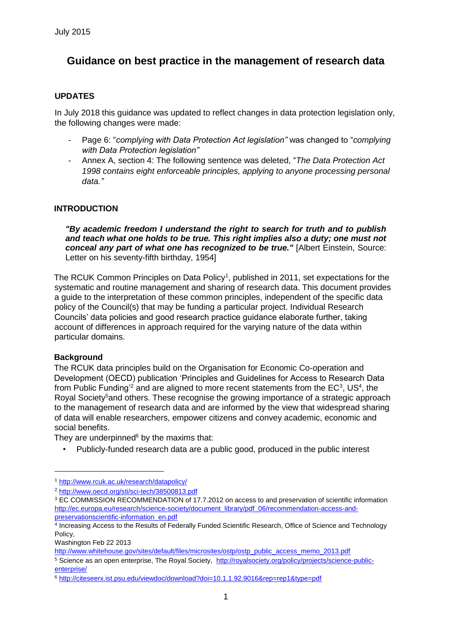# **Guidance on best practice in the management of research data**

# **UPDATES**

In July 2018 this guidance was updated to reflect changes in data protection legislation only, the following changes were made:

- Page 6: "*complying with Data Protection Act legislation"* was changed to "*complying with Data Protection legislation"*
- Annex A, section 4: The following sentence was deleted, "*The Data Protection Act 1998 contains eight enforceable principles, applying to anyone processing personal data."*

# **INTRODUCTION**

*"By academic freedom I understand the right to search for truth and to publish*  and teach what one holds to be true. This right implies also a duty; one must not *conceal any part of what one has recognized to be true."* [Albert Einstein, Source: Letter on his seventy-fifth birthday, 1954]

The RCUK Common Principles on Data Policy<sup>1</sup>, published in 2011, set expectations for the systematic and routine management and sharing of research data. This document provides a guide to the interpretation of these common principles, independent of the specific data policy of the Council(s) that may be funding a particular project. Individual Research Councils' data policies and good research practice guidance elaborate further, taking account of differences in approach required for the varying nature of the data within particular domains.

#### **Background**

<u>.</u>

The RCUK data principles build on the Organisation for Economic Co-operation and Development (OECD) publication 'Principles and Guidelines for Access to Research Data from Public Funding<sup>12</sup> and are aligned to more recent statements from the  $EC^3$ , US<sup>4</sup>, the Royal Society<sup>5</sup>and others. These recognise the growing importance of a strategic approach to the management of research data and are informed by the view that widespread sharing of data will enable researchers, empower citizens and convey academic, economic and social benefits.

They are underpinned $6$  by the maxims that:

• Publicly-funded research data are a public good, produced in the public interest

Washington Feb 22 2013

[http://www.whitehouse.gov/sites/default/files/microsites/ostp/ostp\\_public\\_access\\_memo\\_2013.pdf](http://www.whitehouse.gov/sites/default/files/microsites/ostp/ostp_public_access_memo_2013.pdf)  <sup>5</sup> Science as an open enterprise, The Royal Society[, http://royalsociety.org/policy/projects/science-public-](http://royalsociety.org/policy/projects/science-public-enterprise/)

<sup>1</sup> <http://www.rcuk.ac.uk/research/datapolicy/>

<sup>2</sup> <http://www.oecd.org/sti/sci-tech/38500813.pdf>

<sup>&</sup>lt;sup>3</sup> EC COMMISSION RECOMMENDATION of 17.7.2012 on access to and preservation of scientific information [http://ec.europa.eu/research/science-society/document\\_library/pdf\\_06/recommendation-access-and](http://ec.europa.eu/research/science-society/document_library/pdf_06/recommendation-access-and-preservation-scientific-information_en.pdf)[preservationscientific-information\\_en.pdf](http://ec.europa.eu/research/science-society/document_library/pdf_06/recommendation-access-and-preservation-scientific-information_en.pdf)

<sup>4</sup> Increasing Access to the Results of Federally Funded Scientific Research, Office of Science and Technology Policy,

[enterprise/](http://royalsociety.org/policy/projects/science-public-enterprise/) 

<sup>6</sup> <http://citeseerx.ist.psu.edu/viewdoc/download?doi=10.1.1.92.9016&rep=rep1&type=pdf>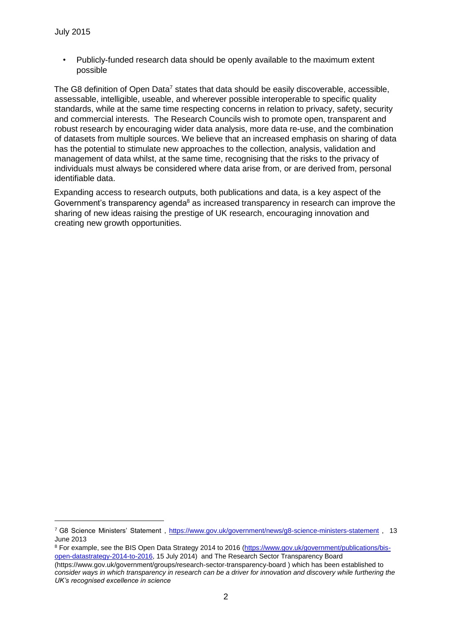1

• Publicly-funded research data should be openly available to the maximum extent possible

The G8 definition of Open Data<sup>7</sup> states that data should be easily discoverable, accessible, assessable, intelligible, useable, and wherever possible interoperable to specific quality standards, while at the same time respecting concerns in relation to privacy, safety, security and commercial interests. The Research Councils wish to promote open, transparent and robust research by encouraging wider data analysis, more data re-use, and the combination of datasets from multiple sources. We believe that an increased emphasis on sharing of data has the potential to stimulate new approaches to the collection, analysis, validation and management of data whilst, at the same time, recognising that the risks to the privacy of individuals must always be considered where data arise from, or are derived from, personal identifiable data.

Expanding access to research outputs, both publications and data, is a key aspect of the Government's transparency agenda<sup>8</sup> as increased transparency in research can improve the sharing of new ideas raising the prestige of UK research, encouraging innovation and creating new growth opportunities.

<sup>7</sup> G8 Science Ministers' Statement [, https://www.gov.uk/government/news/g8-science-ministers-statement](https://www.gov.uk/government/news/g8-science-ministers-statement) [,](https://www.gov.uk/government/news/g8-science-ministers-statement) 13 June 2013

<sup>&</sup>lt;sup>8</sup> For example, see the BIS Open Data Strategy 2014 to 2016 [\(https://www.gov.uk/government/publications/bis](https://www.gov.uk/government/publications/bis-open-data-strategy-2014-to-2016)[open-datastrategy-2014-to-2016, 1](https://www.gov.uk/government/publications/bis-open-data-strategy-2014-to-2016)5 July 2014) and The Research Sector Transparency Board (https://www.gov.uk/government/groups/research-sector-transparency-board ) which has been established to

*consider ways in which transparency in research can be a driver for innovation and discovery while furthering the UK's recognised excellence in science*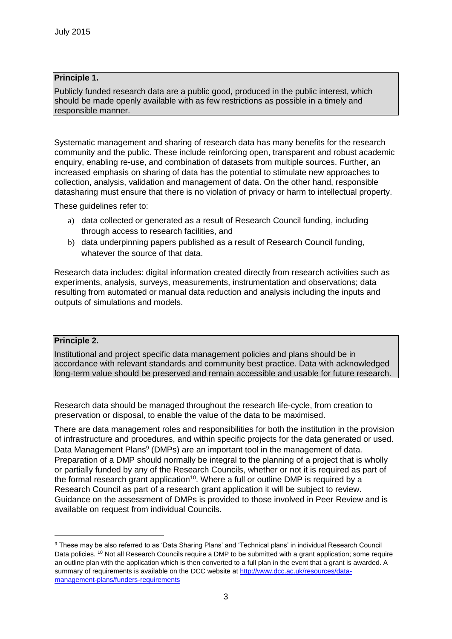## **Principle 1.**

Publicly funded research data are a public good, produced in the public interest, which should be made openly available with as few restrictions as possible in a timely and responsible manner.

Systematic management and sharing of research data has many benefits for the research community and the public. These include reinforcing open, transparent and robust academic enquiry, enabling re-use, and combination of datasets from multiple sources. Further, an increased emphasis on sharing of data has the potential to stimulate new approaches to collection, analysis, validation and management of data. On the other hand, responsible datasharing must ensure that there is no violation of privacy or harm to intellectual property.

These guidelines refer to:

- a) data collected or generated as a result of Research Council funding, including through access to research facilities, and
- b) data underpinning papers published as a result of Research Council funding, whatever the source of that data.

Research data includes: digital information created directly from research activities such as experiments, analysis, surveys, measurements, instrumentation and observations; data resulting from automated or manual data reduction and analysis including the inputs and outputs of simulations and models.

#### **Principle 2.**

1

Institutional and project specific data management policies and plans should be in accordance with relevant standards and community best practice. Data with acknowledged long-term value should be preserved and remain accessible and usable for future research.

Research data should be managed throughout the research life-cycle, from creation to preservation or disposal, to enable the value of the data to be maximised.

There are data management roles and responsibilities for both the institution in the provision of infrastructure and procedures, and within specific projects for the data generated or used. Data Management Plans<sup>9</sup> (DMPs) are an important tool in the management of data. Preparation of a DMP should normally be integral to the planning of a project that is wholly or partially funded by any of the Research Councils, whether or not it is required as part of the formal research grant application<sup>10</sup>. Where a full or outline DMP is required by a Research Council as part of a research grant application it will be subject to review. Guidance on the assessment of DMPs is provided to those involved in Peer Review and is available on request from individual Councils.

<sup>9</sup> These may be also referred to as 'Data Sharing Plans' and 'Technical plans' in individual Research Council Data policies. <sup>10</sup> Not all Research Councils require a DMP to be submitted with a grant application; some require an outline plan with the application which is then converted to a full plan in the event that a grant is awarded. A summary of requirements is available on the DCC website [at http://www.dcc.ac.uk/resources/data](http://www.dcc.ac.uk/resources/data-management-plans/funders-requirements)[management-plans/funders-requirements](http://www.dcc.ac.uk/resources/data-management-plans/funders-requirements)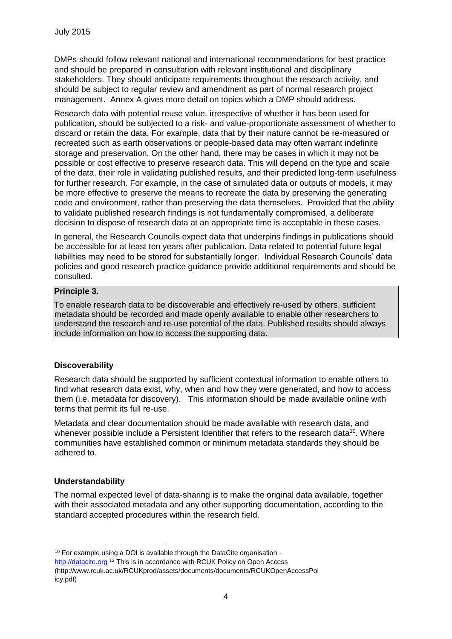DMPs should follow relevant national and international recommendations for best practice and should be prepared in consultation with relevant institutional and disciplinary stakeholders. They should anticipate requirements throughout the research activity, and should be subject to regular review and amendment as part of normal research project management. Annex A gives more detail on topics which a DMP should address.

Research data with potential reuse value, irrespective of whether it has been used for publication, should be subjected to a risk- and value-proportionate assessment of whether to discard or retain the data. For example, data that by their nature cannot be re-measured or recreated such as earth observations or people-based data may often warrant indefinite storage and preservation. On the other hand, there may be cases in which it may not be possible or cost effective to preserve research data. This will depend on the type and scale of the data, their role in validating published results, and their predicted long-term usefulness for further research. For example, in the case of simulated data or outputs of models, it may be more effective to preserve the means to recreate the data by preserving the generating code and environment, rather than preserving the data themselves. Provided that the ability to validate published research findings is not fundamentally compromised, a deliberate decision to dispose of research data at an appropriate time is acceptable in these cases.

In general, the Research Councils expect data that underpins findings in publications should be accessible for at least ten years after publication. Data related to potential future legal liabilities may need to be stored for substantially longer. Individual Research Councils' data policies and good research practice guidance provide additional requirements and should be consulted.

#### **Principle 3.**

To enable research data to be discoverable and effectively re-used by others, sufficient metadata should be recorded and made openly available to enable other researchers to understand the research and re-use potential of the data. Published results should always include information on how to access the supporting data.

# **Discoverability**

Research data should be supported by sufficient contextual information to enable others to find what research data exist, why, when and how they were generated, and how to access them (i.e. metadata for discovery). This information should be made available online with terms that permit its full re-use.

Metadata and clear documentation should be made available with research data, and whenever possible include a Persistent Identifier that refers to the research data<sup>10</sup>. Where communities have established common or minimum metadata standards they should be adhered to.

#### **Understandability**

1

The normal expected level of data-sharing is to make the original data available, together with their associated metadata and any other supporting documentation, according to the standard accepted procedures within the research field.

http://datacite.org <sup>12</sup> This is in accordance with RCUK Policy on Open Access (http://www.rcuk.ac.uk/RCUKprod/assets/documents/documents/RCUKOpenAccessPol icy.pdf)

<sup>&</sup>lt;sup>10</sup> For example using a DOI is available through the DataCite organisation -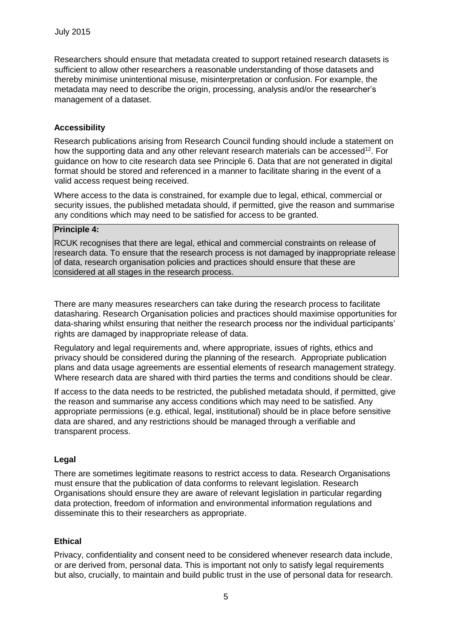Researchers should ensure that metadata created to support retained research datasets is sufficient to allow other researchers a reasonable understanding of those datasets and thereby minimise unintentional misuse, misinterpretation or confusion. For example, the metadata may need to describe the origin, processing, analysis and/or the researcher's management of a dataset.

## **Accessibility**

Research publications arising from Research Council funding should include a statement on how the supporting data and any other relevant research materials can be accessed<sup>12</sup>. For guidance on how to cite research data see Principle 6. Data that are not generated in digital format should be stored and referenced in a manner to facilitate sharing in the event of a valid access request being received.

Where access to the data is constrained, for example due to legal, ethical, commercial or security issues, the published metadata should, if permitted, give the reason and summarise any conditions which may need to be satisfied for access to be granted.

## **Principle 4:**

RCUK recognises that there are legal, ethical and commercial constraints on release of research data. To ensure that the research process is not damaged by inappropriate release of data, research organisation policies and practices should ensure that these are considered at all stages in the research process.

There are many measures researchers can take during the research process to facilitate datasharing. Research Organisation policies and practices should maximise opportunities for data-sharing whilst ensuring that neither the research process nor the individual participants' rights are damaged by inappropriate release of data.

Regulatory and legal requirements and, where appropriate, issues of rights, ethics and privacy should be considered during the planning of the research. Appropriate publication plans and data usage agreements are essential elements of research management strategy. Where research data are shared with third parties the terms and conditions should be clear.

If access to the data needs to be restricted, the published metadata should, if permitted, give the reason and summarise any access conditions which may need to be satisfied. Any appropriate permissions (e.g. ethical, legal, institutional) should be in place before sensitive data are shared, and any restrictions should be managed through a verifiable and transparent process.

#### **Legal**

There are sometimes legitimate reasons to restrict access to data. Research Organisations must ensure that the publication of data conforms to relevant legislation. Research Organisations should ensure they are aware of relevant legislation in particular regarding data protection, freedom of information and environmental information regulations and disseminate this to their researchers as appropriate.

#### **Ethical**

Privacy, confidentiality and consent need to be considered whenever research data include, or are derived from, personal data. This is important not only to satisfy legal requirements but also, crucially, to maintain and build public trust in the use of personal data for research.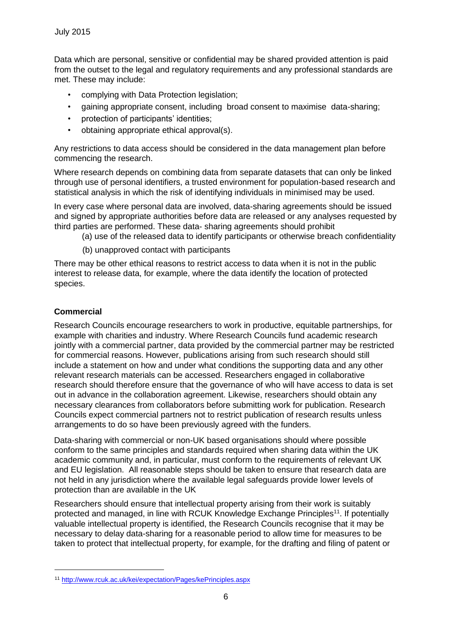Data which are personal, sensitive or confidential may be shared provided attention is paid from the outset to the legal and regulatory requirements and any professional standards are met. These may include:

- complying with Data Protection legislation;
- gaining appropriate consent, including broad consent to maximise data-sharing;
- protection of participants' identities;
- obtaining appropriate ethical approval(s).

Any restrictions to data access should be considered in the data management plan before commencing the research.

Where research depends on combining data from separate datasets that can only be linked through use of personal identifiers, a trusted environment for population-based research and statistical analysis in which the risk of identifying individuals in minimised may be used.

In every case where personal data are involved, data-sharing agreements should be issued and signed by appropriate authorities before data are released or any analyses requested by third parties are performed. These data- sharing agreements should prohibit

(a) use of the released data to identify participants or otherwise breach confidentiality

(b) unapproved contact with participants

There may be other ethical reasons to restrict access to data when it is not in the public interest to release data, for example, where the data identify the location of protected species.

# **Commercial**

1

Research Councils encourage researchers to work in productive, equitable partnerships, for example with charities and industry. Where Research Councils fund academic research jointly with a commercial partner, data provided by the commercial partner may be restricted for commercial reasons. However, publications arising from such research should still include a statement on how and under what conditions the supporting data and any other relevant research materials can be accessed. Researchers engaged in collaborative research should therefore ensure that the governance of who will have access to data is set out in advance in the collaboration agreement. Likewise, researchers should obtain any necessary clearances from collaborators before submitting work for publication. Research Councils expect commercial partners not to restrict publication of research results unless arrangements to do so have been previously agreed with the funders.

Data-sharing with commercial or non-UK based organisations should where possible conform to the same principles and standards required when sharing data within the UK academic community and, in particular, must conform to the requirements of relevant UK and EU legislation. All reasonable steps should be taken to ensure that research data are not held in any jurisdiction where the available legal safeguards provide lower levels of protection than are available in the UK

Researchers should ensure that intellectual property arising from their work is suitably protected and managed, in line with RCUK Knowledge Exchange Principles<sup>11</sup>. If potentially valuable intellectual property is identified, the Research Councils recognise that it may be necessary to delay data-sharing for a reasonable period to allow time for measures to be taken to protect that intellectual property, for example, for the drafting and filing of patent or

<sup>11</sup> http://www.rcuk.ac.uk/kei/expectation/Pages/kePrinciples.aspx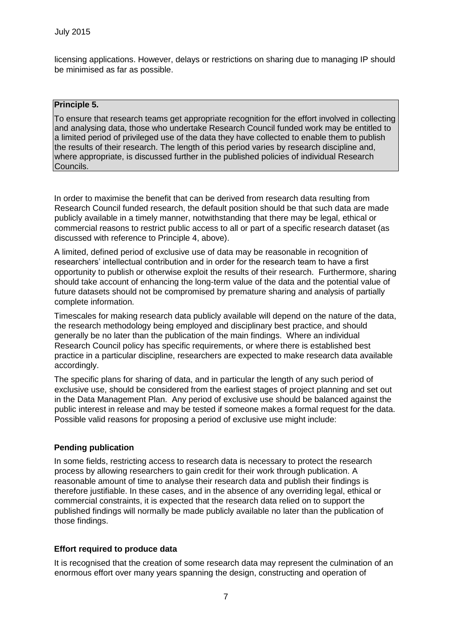licensing applications. However, delays or restrictions on sharing due to managing IP should be minimised as far as possible.

#### **Principle 5.**

To ensure that research teams get appropriate recognition for the effort involved in collecting and analysing data, those who undertake Research Council funded work may be entitled to a limited period of privileged use of the data they have collected to enable them to publish the results of their research. The length of this period varies by research discipline and, where appropriate, is discussed further in the published policies of individual Research Councils.

In order to maximise the benefit that can be derived from research data resulting from Research Council funded research, the default position should be that such data are made publicly available in a timely manner, notwithstanding that there may be legal, ethical or commercial reasons to restrict public access to all or part of a specific research dataset (as discussed with reference to Principle 4, above).

A limited, defined period of exclusive use of data may be reasonable in recognition of researchers' intellectual contribution and in order for the research team to have a first opportunity to publish or otherwise exploit the results of their research. Furthermore, sharing should take account of enhancing the long-term value of the data and the potential value of future datasets should not be compromised by premature sharing and analysis of partially complete information.

Timescales for making research data publicly available will depend on the nature of the data, the research methodology being employed and disciplinary best practice, and should generally be no later than the publication of the main findings. Where an individual Research Council policy has specific requirements, or where there is established best practice in a particular discipline, researchers are expected to make research data available accordingly.

The specific plans for sharing of data, and in particular the length of any such period of exclusive use, should be considered from the earliest stages of project planning and set out in the Data Management Plan. Any period of exclusive use should be balanced against the public interest in release and may be tested if someone makes a formal request for the data. Possible valid reasons for proposing a period of exclusive use might include:

#### **Pending publication**

In some fields, restricting access to research data is necessary to protect the research process by allowing researchers to gain credit for their work through publication. A reasonable amount of time to analyse their research data and publish their findings is therefore justifiable. In these cases, and in the absence of any overriding legal, ethical or commercial constraints, it is expected that the research data relied on to support the published findings will normally be made publicly available no later than the publication of those findings.

#### **Effort required to produce data**

It is recognised that the creation of some research data may represent the culmination of an enormous effort over many years spanning the design, constructing and operation of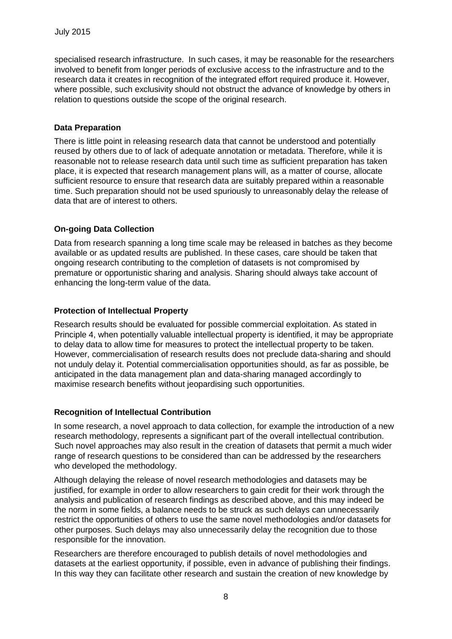specialised research infrastructure. In such cases, it may be reasonable for the researchers involved to benefit from longer periods of exclusive access to the infrastructure and to the research data it creates in recognition of the integrated effort required produce it. However, where possible, such exclusivity should not obstruct the advance of knowledge by others in relation to questions outside the scope of the original research.

#### **Data Preparation**

There is little point in releasing research data that cannot be understood and potentially reused by others due to of lack of adequate annotation or metadata. Therefore, while it is reasonable not to release research data until such time as sufficient preparation has taken place, it is expected that research management plans will, as a matter of course, allocate sufficient resource to ensure that research data are suitably prepared within a reasonable time. Such preparation should not be used spuriously to unreasonably delay the release of data that are of interest to others.

## **On-going Data Collection**

Data from research spanning a long time scale may be released in batches as they become available or as updated results are published. In these cases, care should be taken that ongoing research contributing to the completion of datasets is not compromised by premature or opportunistic sharing and analysis. Sharing should always take account of enhancing the long-term value of the data.

## **Protection of Intellectual Property**

Research results should be evaluated for possible commercial exploitation. As stated in Principle 4, when potentially valuable intellectual property is identified, it may be appropriate to delay data to allow time for measures to protect the intellectual property to be taken. However, commercialisation of research results does not preclude data-sharing and should not unduly delay it. Potential commercialisation opportunities should, as far as possible, be anticipated in the data management plan and data-sharing managed accordingly to maximise research benefits without jeopardising such opportunities.

#### **Recognition of Intellectual Contribution**

In some research, a novel approach to data collection, for example the introduction of a new research methodology, represents a significant part of the overall intellectual contribution. Such novel approaches may also result in the creation of datasets that permit a much wider range of research questions to be considered than can be addressed by the researchers who developed the methodology.

Although delaying the release of novel research methodologies and datasets may be justified, for example in order to allow researchers to gain credit for their work through the analysis and publication of research findings as described above, and this may indeed be the norm in some fields, a balance needs to be struck as such delays can unnecessarily restrict the opportunities of others to use the same novel methodologies and/or datasets for other purposes. Such delays may also unnecessarily delay the recognition due to those responsible for the innovation.

Researchers are therefore encouraged to publish details of novel methodologies and datasets at the earliest opportunity, if possible, even in advance of publishing their findings. In this way they can facilitate other research and sustain the creation of new knowledge by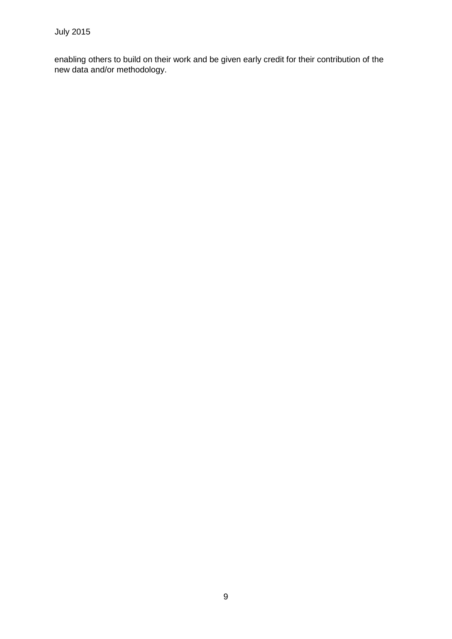enabling others to build on their work and be given early credit for their contribution of the new data and/or methodology.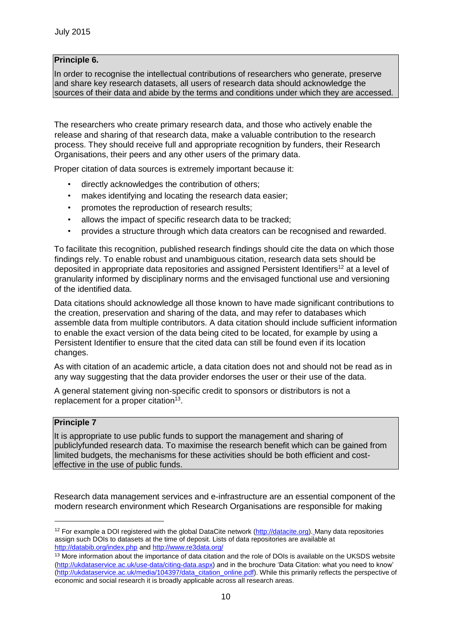# **Principle 6.**

In order to recognise the intellectual contributions of researchers who generate, preserve and share key research datasets, all users of research data should acknowledge the sources of their data and abide by the terms and conditions under which they are accessed.

The researchers who create primary research data, and those who actively enable the release and sharing of that research data, make a valuable contribution to the research process. They should receive full and appropriate recognition by funders, their Research Organisations, their peers and any other users of the primary data.

Proper citation of data sources is extremely important because it:

- directly acknowledges the contribution of others;
- makes identifying and locating the research data easier;
- promotes the reproduction of research results;
- allows the impact of specific research data to be tracked;
- provides a structure through which data creators can be recognised and rewarded.

To facilitate this recognition, published research findings should cite the data on which those findings rely. To enable robust and unambiguous citation, research data sets should be deposited in appropriate data repositories and assigned Persistent Identifiers<sup>12</sup> at a level of granularity informed by disciplinary norms and the envisaged functional use and versioning of the identified data.

Data citations should acknowledge all those known to have made significant contributions to the creation, preservation and sharing of the data, and may refer to databases which assemble data from multiple contributors. A data citation should include sufficient information to enable the exact version of the data being cited to be located, for example by using a Persistent Identifier to ensure that the cited data can still be found even if its location changes.

As with citation of an academic article, a data citation does not and should not be read as in any way suggesting that the data provider endorses the user or their use of the data.

A general statement giving non-specific credit to sponsors or distributors is not a replacement for a proper citation $13$ .

## **Principle 7**

1

It is appropriate to use public funds to support the management and sharing of publiclyfunded research data. To maximise the research benefit which can be gained from limited budgets, the mechanisms for these activities should be both efficient and costeffective in the use of public funds.

Research data management services and e-infrastructure are an essential component of the modern research environment which Research Organisations are responsible for making

 $12$  For example a DOI registered with the global DataCite network [\(http://datacite.org\).](http://datacite.org/) Many data repositories assign such DOIs to datasets at the time of deposit. Lists of data repositories are available [at](http://databib.org/index.php)  <http://databib.org/index.php> [an](http://databib.org/index.php)d <http://www.re3data.org/>

<sup>&</sup>lt;sup>13</sup> More information about the importance of data citation and the role of DOIs is available on the UKSDS website [\(http://ukdataservice.ac.uk/use-data/citing-data.aspx\)](http://ukdataservice.ac.uk/use-data/citing-data.aspx) and in the brochure 'Data Citation: what you need to know' [\(http://ukdataservice.ac.uk/media/104397/data\\_citation\\_online.pdf\).](http://ukdataservice.ac.uk/media/104397/data_citation_online.pdf) While this primarily reflects the perspective of economic and social research it is broadly applicable across all research areas.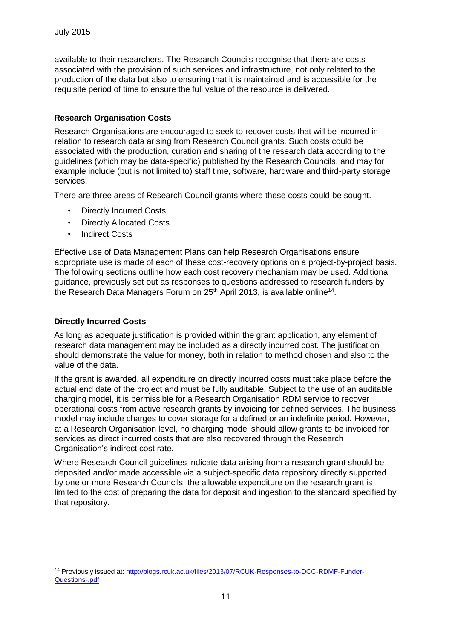available to their researchers. The Research Councils recognise that there are costs associated with the provision of such services and infrastructure, not only related to the production of the data but also to ensuring that it is maintained and is accessible for the requisite period of time to ensure the full value of the resource is delivered.

# **Research Organisation Costs**

Research Organisations are encouraged to seek to recover costs that will be incurred in relation to research data arising from Research Council grants. Such costs could be associated with the production, curation and sharing of the research data according to the guidelines (which may be data-specific) published by the Research Councils, and may for example include (but is not limited to) staff time, software, hardware and third-party storage services.

There are three areas of Research Council grants where these costs could be sought.

- Directly Incurred Costs
- Directly Allocated Costs
- Indirect Costs

Effective use of Data Management Plans can help Research Organisations ensure appropriate use is made of each of these cost-recovery options on a project-by-project basis. The following sections outline how each cost recovery mechanism may be used. Additional guidance, previously set out as responses to questions addressed to research funders by the Research Data Managers Forum on 25<sup>th</sup> April 2013, is available online<sup>14</sup>.

# **Directly Incurred Costs**

1

As long as adequate justification is provided within the grant application, any element of research data management may be included as a directly incurred cost. The justification should demonstrate the value for money, both in relation to method chosen and also to the value of the data.

If the grant is awarded, all expenditure on directly incurred costs must take place before the actual end date of the project and must be fully auditable. Subject to the use of an auditable charging model, it is permissible for a Research Organisation RDM service to recover operational costs from active research grants by invoicing for defined services. The business model may include charges to cover storage for a defined or an indefinite period. However, at a Research Organisation level, no charging model should allow grants to be invoiced for services as direct incurred costs that are also recovered through the Research Organisation's indirect cost rate.

Where Research Council guidelines indicate data arising from a research grant should be deposited and/or made accessible via a subject-specific data repository directly supported by one or more Research Councils, the allowable expenditure on the research grant is limited to the cost of preparing the data for deposit and ingestion to the standard specified by that repository.

<sup>14</sup> Previously issued a[t: http://blogs.rcuk.ac.uk/files/2013/07/RCUK-Responses-to-DCC-RDMF-Funder-](http://blogs.rcuk.ac.uk/files/2013/07/RCUK-Responses-to-DCC-RDMF-Funder-Questions-.pdf)[Questions-.pdf](http://blogs.rcuk.ac.uk/files/2013/07/RCUK-Responses-to-DCC-RDMF-Funder-Questions-.pdf)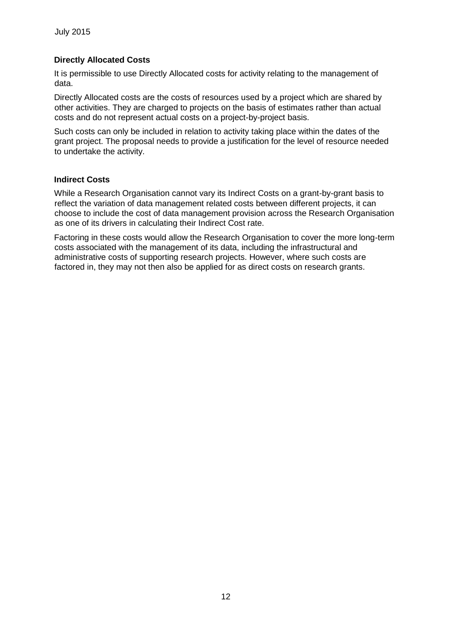#### **Directly Allocated Costs**

It is permissible to use Directly Allocated costs for activity relating to the management of data.

Directly Allocated costs are the costs of resources used by a project which are shared by other activities. They are charged to projects on the basis of estimates rather than actual costs and do not represent actual costs on a project-by-project basis.

Such costs can only be included in relation to activity taking place within the dates of the grant project. The proposal needs to provide a justification for the level of resource needed to undertake the activity.

#### **Indirect Costs**

While a Research Organisation cannot vary its Indirect Costs on a grant-by-grant basis to reflect the variation of data management related costs between different projects, it can choose to include the cost of data management provision across the Research Organisation as one of its drivers in calculating their Indirect Cost rate.

Factoring in these costs would allow the Research Organisation to cover the more long-term costs associated with the management of its data, including the infrastructural and administrative costs of supporting research projects. However, where such costs are factored in, they may not then also be applied for as direct costs on research grants.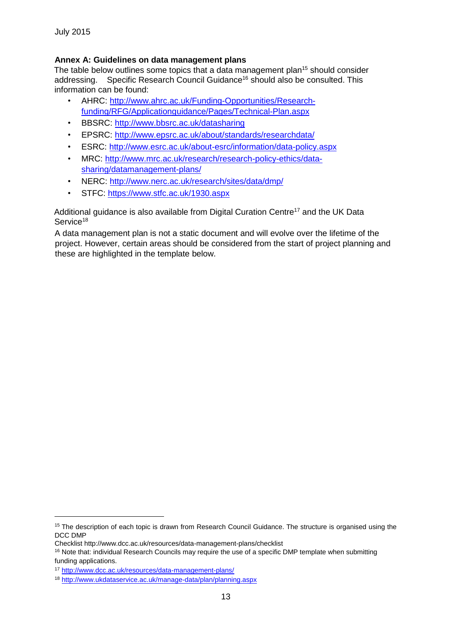#### **Annex A: Guidelines on data management plans**

The table below outlines some topics that a data management plan<sup>15</sup> should consider addressing. Specific Research Council Guidance<sup>16</sup> should also be consulted. This information can be found:

- AHRC: [http://www.ahrc.ac.uk/Funding-Opportunities/Research](http://www.ahrc.ac.uk/Funding-Opportunities/Research-funding/RFG/Application-guidance/Pages/Technical-Plan.aspx)[funding/RFG/Applicationguidance/Pages/Technical-Plan.aspx](http://www.ahrc.ac.uk/Funding-Opportunities/Research-funding/RFG/Application-guidance/Pages/Technical-Plan.aspx)
- BBSRC: <http://www.bbsrc.ac.uk/datasharing>
- EPSRC:<http://www.epsrc.ac.uk/about/standards/researchdata/>
- ESRC:<http://www.esrc.ac.uk/about-esrc/information/data-policy.aspx>
- MRC: [http://www.mrc.ac.uk/research/research-policy-ethics/data](http://www.mrc.ac.uk/research/research-policy-ethics/data-sharing/data-management-plans/)[sharing/datamanagement-plans/](http://www.mrc.ac.uk/research/research-policy-ethics/data-sharing/data-management-plans/)
- NERC:<http://www.nerc.ac.uk/research/sites/data/dmp/>
- STFC:<https://www.stfc.ac.uk/1930.aspx>

Additional guidance is also available from Digital Curation Centre<sup>17</sup> and the UK Data Service<sup>18</sup>

A data management plan is not a static document and will evolve over the lifetime of the project. However, certain areas should be considered from the start of project planning and these are highlighted in the template below.

1

<sup>&</sup>lt;sup>15</sup> The description of each topic is drawn from Research Council Guidance. The structure is organised using the DCC DMP

Checklist http://www.dcc.ac.uk/resources/data-management-plans/checklist

<sup>&</sup>lt;sup>16</sup> Note that: individual Research Councils may require the use of a specific DMP template when submitting funding applications.

<sup>17</sup> <http://www.dcc.ac.uk/resources/data-management-plans/>

<sup>18</sup> <http://www.ukdataservice.ac.uk/manage-data/plan/planning.aspx>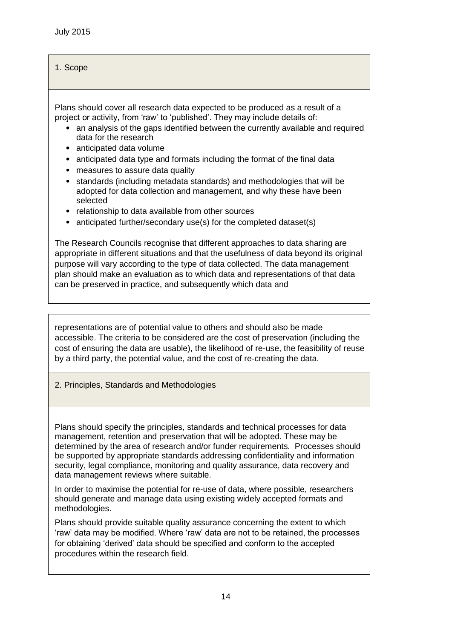# 1. Scope

Plans should cover all research data expected to be produced as a result of a project or activity, from 'raw' to 'published'. They may include details of:

- an analysis of the gaps identified between the currently available and required data for the research
- anticipated data volume
- anticipated data type and formats including the format of the final data
- measures to assure data quality
- standards (including metadata standards) and methodologies that will be adopted for data collection and management, and why these have been selected
- relationship to data available from other sources
- anticipated further/secondary use(s) for the completed dataset(s)

The Research Councils recognise that different approaches to data sharing are appropriate in different situations and that the usefulness of data beyond its original purpose will vary according to the type of data collected. The data management plan should make an evaluation as to which data and representations of that data can be preserved in practice, and subsequently which data and

representations are of potential value to others and should also be made accessible. The criteria to be considered are the cost of preservation (including the cost of ensuring the data are usable), the likelihood of re-use, the feasibility of reuse by a third party, the potential value, and the cost of re-creating the data.

2. Principles, Standards and Methodologies

Plans should specify the principles, standards and technical processes for data management, retention and preservation that will be adopted. These may be determined by the area of research and/or funder requirements. Processes should be supported by appropriate standards addressing confidentiality and information security, legal compliance, monitoring and quality assurance, data recovery and data management reviews where suitable.

In order to maximise the potential for re-use of data, where possible, researchers should generate and manage data using existing widely accepted formats and methodologies.

Plans should provide suitable quality assurance concerning the extent to which 'raw' data may be modified. Where 'raw' data are not to be retained, the processes for obtaining 'derived' data should be specified and conform to the accepted procedures within the research field.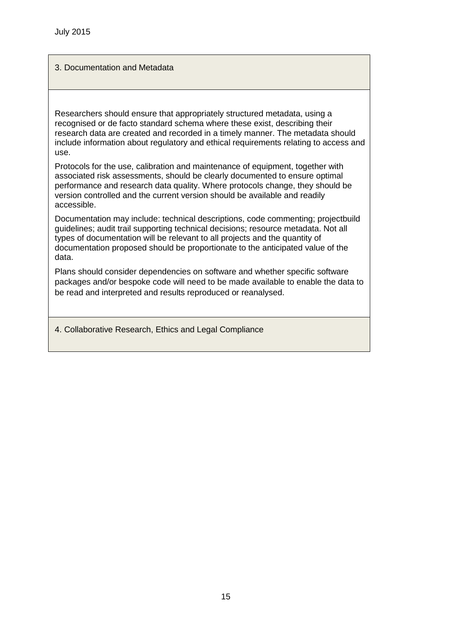## 3. Documentation and Metadata

Researchers should ensure that appropriately structured metadata, using a recognised or de facto standard schema where these exist, describing their research data are created and recorded in a timely manner. The metadata should include information about regulatory and ethical requirements relating to access and use.

Protocols for the use, calibration and maintenance of equipment, together with associated risk assessments, should be clearly documented to ensure optimal performance and research data quality. Where protocols change, they should be version controlled and the current version should be available and readily accessible.

Documentation may include: technical descriptions, code commenting; projectbuild guidelines; audit trail supporting technical decisions; resource metadata. Not all types of documentation will be relevant to all projects and the quantity of documentation proposed should be proportionate to the anticipated value of the data.

Plans should consider dependencies on software and whether specific software packages and/or bespoke code will need to be made available to enable the data to be read and interpreted and results reproduced or reanalysed.

4. Collaborative Research, Ethics and Legal Compliance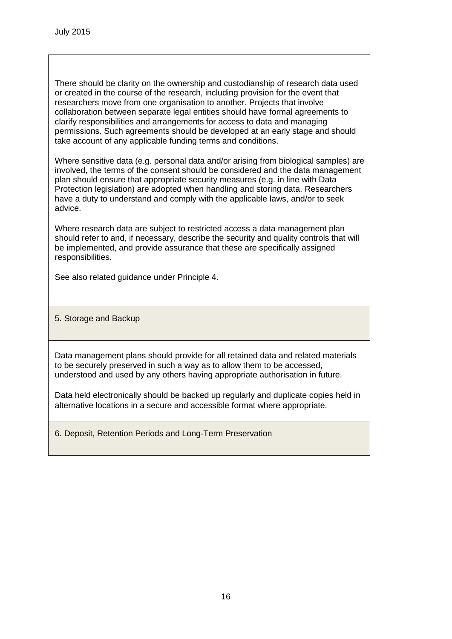There should be clarity on the ownership and custodianship of research data used or created in the course of the research, including provision for the event that researchers move from one organisation to another. Projects that involve collaboration between separate legal entities should have formal agreements to clarify responsibilities and arrangements for access to data and managing permissions. Such agreements should be developed at an early stage and should take account of any applicable funding terms and conditions.

Where sensitive data (e.g. personal data and/or arising from biological samples) are involved, the terms of the consent should be considered and the data management plan should ensure that appropriate security measures (e.g. in line with Data Protection legislation) are adopted when handling and storing data. Researchers have a duty to understand and comply with the applicable laws, and/or to seek advice.

Where research data are subject to restricted access a data management plan should refer to and, if necessary, describe the security and quality controls that will be implemented, and provide assurance that these are specifically assigned responsibilities.

See also related guidance under Principle 4.

5. Storage and Backup

Data management plans should provide for all retained data and related materials to be securely preserved in such a way as to allow them to be accessed, understood and used by any others having appropriate authorisation in future.

Data held electronically should be backed up regularly and duplicate copies held in alternative locations in a secure and accessible format where appropriate.

6. Deposit, Retention Periods and Long-Term Preservation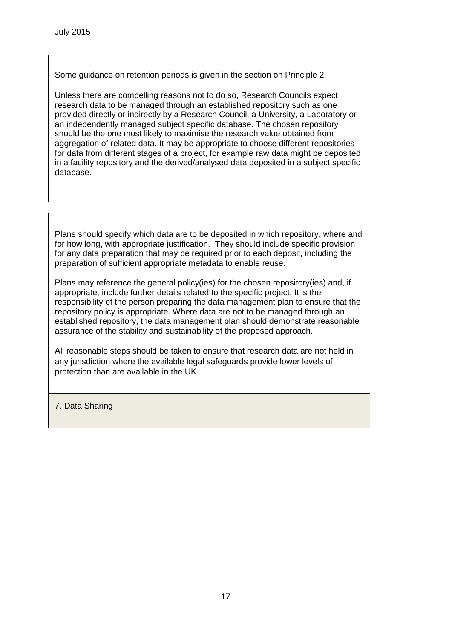Some guidance on retention periods is given in the section on Principle 2.

Unless there are compelling reasons not to do so, Research Councils expect research data to be managed through an established repository such as one provided directly or indirectly by a Research Council, a University, a Laboratory or an independently managed subject specific database. The chosen repository should be the one most likely to maximise the research value obtained from aggregation of related data. It may be appropriate to choose different repositories for data from different stages of a project, for example raw data might be deposited in a facility repository and the derived/analysed data deposited in a subject specific database.

Plans should specify which data are to be deposited in which repository, where and for how long, with appropriate justification. They should include specific provision for any data preparation that may be required prior to each deposit, including the preparation of sufficient appropriate metadata to enable reuse.

Plans may reference the general policy(ies) for the chosen repository(ies) and, if appropriate, include further details related to the specific project. It is the responsibility of the person preparing the data management plan to ensure that the repository policy is appropriate. Where data are not to be managed through an established repository, the data management plan should demonstrate reasonable assurance of the stability and sustainability of the proposed approach.

All reasonable steps should be taken to ensure that research data are not held in any jurisdiction where the available legal safeguards provide lower levels of protection than are available in the UK

7. Data Sharing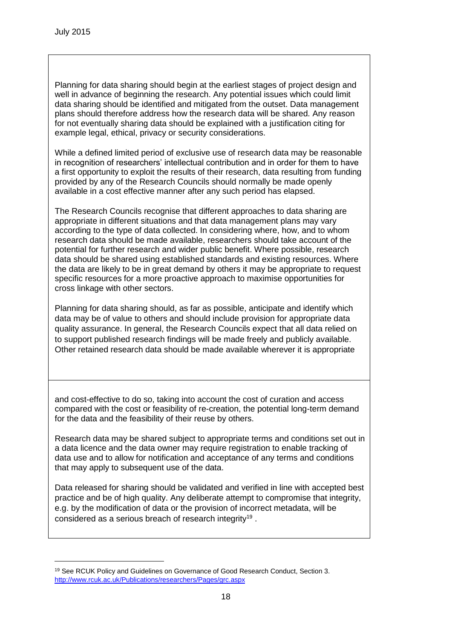<u>.</u>

Planning for data sharing should begin at the earliest stages of project design and well in advance of beginning the research. Any potential issues which could limit data sharing should be identified and mitigated from the outset. Data management plans should therefore address how the research data will be shared. Any reason for not eventually sharing data should be explained with a justification citing for example legal, ethical, privacy or security considerations.

While a defined limited period of exclusive use of research data may be reasonable in recognition of researchers' intellectual contribution and in order for them to have a first opportunity to exploit the results of their research, data resulting from funding provided by any of the Research Councils should normally be made openly available in a cost effective manner after any such period has elapsed.

The Research Councils recognise that different approaches to data sharing are appropriate in different situations and that data management plans may vary according to the type of data collected. In considering where, how, and to whom research data should be made available, researchers should take account of the potential for further research and wider public benefit. Where possible, research data should be shared using established standards and existing resources. Where the data are likely to be in great demand by others it may be appropriate to request specific resources for a more proactive approach to maximise opportunities for cross linkage with other sectors.

Planning for data sharing should, as far as possible, anticipate and identify which data may be of value to others and should include provision for appropriate data quality assurance. In general, the Research Councils expect that all data relied on to support published research findings will be made freely and publicly available. Other retained research data should be made available wherever it is appropriate

and cost-effective to do so, taking into account the cost of curation and access compared with the cost or feasibility of re-creation, the potential long-term demand for the data and the feasibility of their reuse by others.

Research data may be shared subject to appropriate terms and conditions set out in a data licence and the data owner may require registration to enable tracking of data use and to allow for notification and acceptance of any terms and conditions that may apply to subsequent use of the data.

Data released for sharing should be validated and verified in line with accepted best practice and be of high quality. Any deliberate attempt to compromise that integrity, e.g. by the modification of data or the provision of incorrect metadata, will be considered as a serious breach of research integrity<sup>19</sup>.

<sup>19</sup> See RCUK Policy and Guidelines on Governance of Good Research Conduct, Section 3. http://www.rcuk.ac.uk/Publications/researchers/Pages/grc.aspx